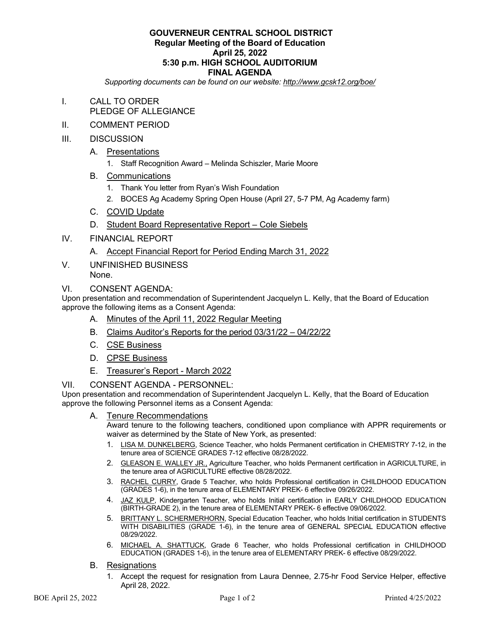#### **GOUVERNEUR CENTRAL SCHOOL DISTRICT Regular Meeting of the Board of Education April 25, 2022 5:30 p.m. HIGH SCHOOL AUDITORIUM FINAL AGENDA**

*Supporting documents can be found on our website: http://www.gcsk12.org/boe/*

- I. CALL TO ORDER PLEDGE OF ALLEGIANCE
- II. COMMENT PERIOD
- III. DISCUSSION
	- A. Presentations
		- 1. Staff Recognition Award Melinda Schiszler, Marie Moore
	- B. Communications
		- 1. Thank You letter from Ryan's Wish Foundation
		- 2. BOCES Ag Academy Spring Open House (April 27, 5-7 PM, Ag Academy farm)
	- C. COVID Update
	- D. Student Board Representative Report Cole Siebels
- IV. FINANCIAL REPORT
	- A. Accept Financial Report for Period Ending March 31, 2022
- V. UNFINISHED BUSINESS None.
- VI. CONSENT AGENDA:

Upon presentation and recommendation of Superintendent Jacquelyn L. Kelly, that the Board of Education approve the following items as a Consent Agenda:

- A. Minutes of the April 11, 2022 Regular Meeting
- B. Claims Auditor's Reports for the period 03/31/22 04/22/22
- C. CSE Business
- D. CPSE Business
- E. Treasurer's Report March 2022
- VII. CONSENT AGENDA PERSONNEL:

Upon presentation and recommendation of Superintendent Jacquelyn L. Kelly, that the Board of Education approve the following Personnel items as a Consent Agenda:

A. Tenure Recommendations

Award tenure to the following teachers, conditioned upon compliance with APPR requirements or waiver as determined by the State of New York, as presented:

- 1. LISA M. DUNKELBERG, Science Teacher, who holds Permanent certification in CHEMISTRY 7-12, in the tenure area of SCIENCE GRADES 7-12 effective 08/28/2022.
- 2. GLEASON E. WALLEY JR., Agriculture Teacher, who holds Permanent certification in AGRICULTURE, in the tenure area of AGRICULTURE effective 08/28/2022.
- 3. RACHEL CURRY, Grade 5 Teacher, who holds Professional certification in CHILDHOOD EDUCATION (GRADES 1-6), in the tenure area of ELEMENTARY PREK- 6 effective 09/26/2022.
- 4. JAZ KULP, Kindergarten Teacher, who holds Initial certification in EARLY CHILDHOOD EDUCATION (BIRTH-GRADE 2), in the tenure area of ELEMENTARY PREK- 6 effective 09/06/2022.
- 5. BRITTANY L. SCHERMERHORN, Special Education Teacher, who holds Initial certification in STUDENTS WITH DISABILITIES (GRADE 1-6), in the tenure area of GENERAL SPECIAL EDUCATION effective 08/29/2022.
- 6. MICHAEL A. SHATTUCK, Grade 6 Teacher, who holds Professional certification in CHILDHOOD EDUCATION (GRADES 1-6), in the tenure area of ELEMENTARY PREK- 6 effective 08/29/2022.
- B. Resignations
	- 1. Accept the request for resignation from Laura Dennee, 2.75-hr Food Service Helper, effective April 28, 2022.